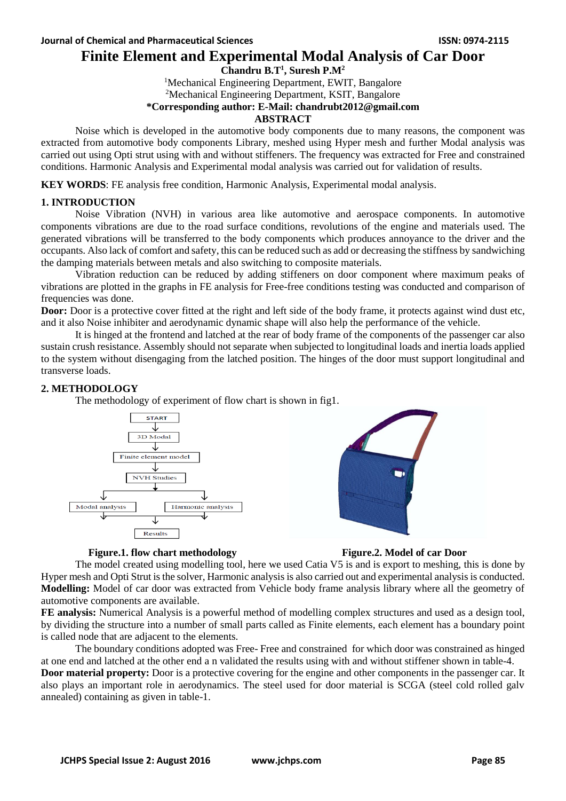## **Finite Element and Experimental Modal Analysis of Car Door**

## **Chandru B.T<sup>1</sup> , Suresh P.M<sup>2</sup>**

<sup>1</sup>Mechanical Engineering Department, EWIT, Bangalore

<sup>2</sup>Mechanical Engineering Department, KSIT, Bangalore

## **\*Corresponding author: E-Mail: chandrubt2012@gmail.com**

## **ABSTRACT**

Noise which is developed in the automotive body components due to many reasons, the component was extracted from automotive body components Library, meshed using Hyper mesh and further Modal analysis was carried out using Opti strut using with and without stiffeners. The frequency was extracted for Free and constrained conditions. Harmonic Analysis and Experimental modal analysis was carried out for validation of results.

**KEY WORDS**: FE analysis free condition, Harmonic Analysis, Experimental modal analysis.

## **1. INTRODUCTION**

Noise Vibration (NVH) in various area like automotive and aerospace components. In automotive components vibrations are due to the road surface conditions, revolutions of the engine and materials used. The generated vibrations will be transferred to the body components which produces annoyance to the driver and the occupants. Also lack of comfort and safety, this can be reduced such as add or decreasing the stiffness by sandwiching the damping materials between metals and also switching to composite materials.

Vibration reduction can be reduced by adding stiffeners on door component where maximum peaks of vibrations are plotted in the graphs in FE analysis for Free-free conditions testing was conducted and comparison of frequencies was done.

**Door:** Door is a protective cover fitted at the right and left side of the body frame, it protects against wind dust etc, and it also Noise inhibiter and aerodynamic dynamic shape will also help the performance of the vehicle.

It is hinged at the frontend and latched at the rear of body frame of the components of the passenger car also sustain crush resistance. Assembly should not separate when subjected to longitudinal loads and inertia loads applied to the system without disengaging from the latched position. The hinges of the door must support longitudinal and transverse loads.

## **2. METHODOLOGY**

The methodology of experiment of flow chart is shown in fig1.





## **Figure.1. flow chart methodology Figure.2. Model of car Door**



The model created using modelling tool, here we used Catia V5 is and is export to meshing, this is done by Hyper mesh and Opti Strut is the solver, Harmonic analysis is also carried out and experimental analysis is conducted. **Modelling:** Model of car door was extracted from Vehicle body frame analysis library where all the geometry of automotive components are available.

**FE analysis:** Numerical Analysis is a powerful method of modelling complex structures and used as a design tool, by dividing the structure into a number of small parts called as Finite elements, each element has a boundary point is called node that are adjacent to the elements.

The boundary conditions adopted was Free- Free and constrained for which door was constrained as hinged at one end and latched at the other end a n validated the results using with and without stiffener shown in table-4.

**Door material property:** Door is a protective covering for the engine and other components in the passenger car. It also plays an important role in aerodynamics. The steel used for door material is SCGA (steel cold rolled galv annealed) containing as given in table-1.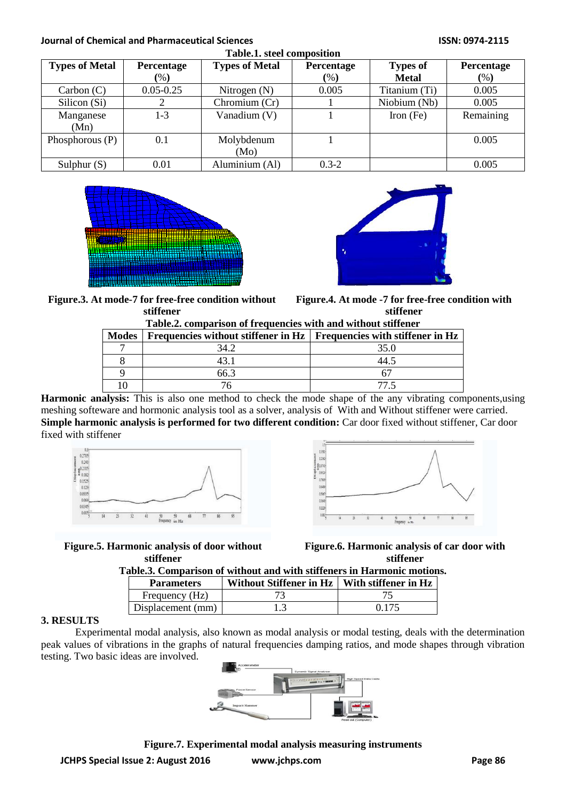# **Journal of Chemical and Pharmaceutical Sciences ISSN: 0974-2115**

| Table.1. steel composition |               |                       |            |                 |            |
|----------------------------|---------------|-----------------------|------------|-----------------|------------|
| <b>Types of Metal</b>      | Percentage    | <b>Types of Metal</b> | Percentage | <b>Types of</b> | Percentage |
|                            | (% )          |                       | (%)        | <b>Metal</b>    | (%)        |
| Carbon (C)                 | $0.05 - 0.25$ | Nitrogen $(N)$        | 0.005      | Titanium (Ti)   | 0.005      |
| Silicon (Si)               | റ             | Chromium (Cr)         |            | Niobium (Nb)    | 0.005      |
| Manganese                  | 1-3           | Vanadium (V)          |            | Iron $(Fe)$     | Remaining  |
| (Mn)                       |               |                       |            |                 |            |
| Phosphorous (P)            | 0.1           | Molybdenum            |            |                 | 0.005      |
|                            |               | (Mo)                  |            |                 |            |
| Sulphur $(S)$              | 0.01          | Aluminium (Al)        | $0.3 - 2$  |                 | 0.005      |





**Figure.3. At mode-7 for free-free condition without stiffener**

**Figure.4. At mode -7 for free-free condition with stiffener**

| Table.2. comparison of frequencies with and without stiffener |  |  |  |  |  |  |  |
|---------------------------------------------------------------|--|--|--|--|--|--|--|
|---------------------------------------------------------------|--|--|--|--|--|--|--|

| Tunicial computing in a traduction with this without pulleled |                                                                            |      |  |  |  |  |
|---------------------------------------------------------------|----------------------------------------------------------------------------|------|--|--|--|--|
| <b>Modes</b>                                                  | Frequencies without stiffener in $Hz$   Frequencies with stiffener in $Hz$ |      |  |  |  |  |
|                                                               | 34.2                                                                       | 35.0 |  |  |  |  |
|                                                               |                                                                            |      |  |  |  |  |
|                                                               |                                                                            |      |  |  |  |  |
|                                                               |                                                                            |      |  |  |  |  |

**Harmonic analysis:** This is also one method to check the mode shape of the any vibrating components,using meshing softeware and hormonic analysis tool as a solver, analysis of With and Without stiffener were carried. **Simple harmonic analysis is performed for two different condition:** Car door fixed without stiffener, Car door fixed with stiffener





**Figure.5. Harmonic analysis of door without stiffener**

**Figure.6. Harmonic analysis of car door with stiffener**

**Table.3. Comparison of without and with stiffeners in Harmonic motions.**

| <b>Parameters</b> | Without Stiffener in $Hz$   With stiffener in $Hz$ |       |
|-------------------|----------------------------------------------------|-------|
| Frequency (Hz)    |                                                    |       |
| Displacement (mm) |                                                    | በ 175 |

## **3. RESULTS**

Experimental modal analysis, also known as modal analysis or modal testing, deals with the determination peak values of vibrations in the graphs of natural frequencies damping ratios, and mode shapes through vibration testing. Two basic ideas are involved.



**JCHPS Special Issue 2: August 2016 www.jchps.com Page 86 Figure.7. Experimental modal analysis measuring instruments**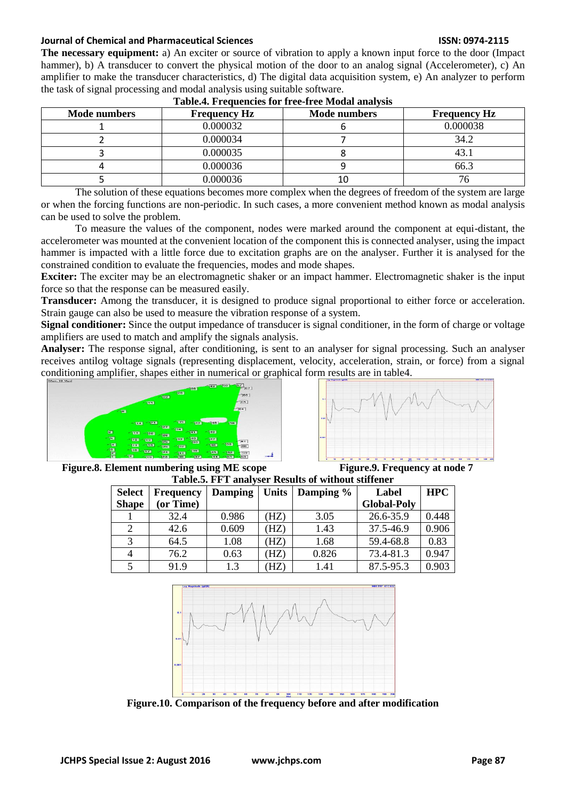## **Journal of Chemical and Pharmaceutical Sciences ISSN: 0974-2115**

**The necessary equipment:** a) An exciter or source of vibration to apply a known input force to the door (Impact hammer), b) A transducer to convert the physical motion of the door to an analog signal (Accelerometer), c) An amplifier to make the transducer characteristics, d) The digital data acquisition system, e) An analyzer to perform the task of signal processing and modal analysis using suitable software.

| <b>Mode numbers</b> | <b>Frequency Hz</b> | <b>Mode numbers</b> | <b>Frequency Hz</b> |
|---------------------|---------------------|---------------------|---------------------|
|                     | 0.000032            |                     | 0.000038            |
|                     | 0.000034            |                     | 34.2                |
|                     | 0.000035            |                     |                     |
|                     | 0.000036            |                     | 66.3                |
|                     | 0.000036            | 10                  |                     |

The solution of these equations becomes more complex when the degrees of freedom of the system are large or when the forcing functions are non-periodic. In such cases, a more convenient method known as modal analysis can be used to solve the problem.

To measure the values of the component, nodes were marked around the component at equi-distant, the accelerometer was mounted at the convenient location of the component this is connected analyser, using the impact hammer is impacted with a little force due to excitation graphs are on the analyser. Further it is analysed for the constrained condition to evaluate the frequencies, modes and mode shapes.

**Exciter:** The exciter may be an electromagnetic shaker or an impact hammer. Electromagnetic shaker is the input force so that the response can be measured easily.

**Transducer:** Among the transducer, it is designed to produce signal proportional to either force or acceleration. Strain gauge can also be used to measure the vibration response of a system.

**Signal conditioner:** Since the output impedance of transducer is signal conditioner, in the form of charge or voltage amplifiers are used to match and amplify the signals analysis.

**Analyser:** The response signal, after conditioning, is sent to an analyser for signal processing. Such an analyser receives antilog voltage signals (representing displacement, velocity, acceleration, strain, or force) from a signal conditioning amplifier, shapes either in numerical or graphical form results are in table4.





**Figure.8. Element numbering using ME scope Figure.9. Frequency at node 7**

| Table.5. FFT analyser Results of without stiffener |                  |                |              |           |                    |            |
|----------------------------------------------------|------------------|----------------|--------------|-----------|--------------------|------------|
| <b>Select</b>                                      | <b>Frequency</b> | <b>Damping</b> | <b>Units</b> | Damping % | Label              | <b>HPC</b> |
| <b>Shape</b>                                       | (or Time)        |                |              |           | <b>Global-Poly</b> |            |
|                                                    | 32.4             | 0.986          | (HZ)         | 3.05      | 26.6-35.9          | 0.448      |
| $\overline{2}$                                     | 42.6             | 0.609          | (HZ)         | 1.43      | 37.5-46.9          | 0.906      |
| 3                                                  | 64.5             | 1.08           | (HZ)         | 1.68      | 59.4-68.8          | 0.83       |
| 4                                                  | 76.2             | 0.63           | (HZ)         | 0.826     | 73.4-81.3          | 0.947      |
|                                                    | 91.9             | 1.3            | (HZ)         | 1.41      | 87.5-95.3          | 0.903      |



**Figure.10. Comparison of the frequency before and after modification**